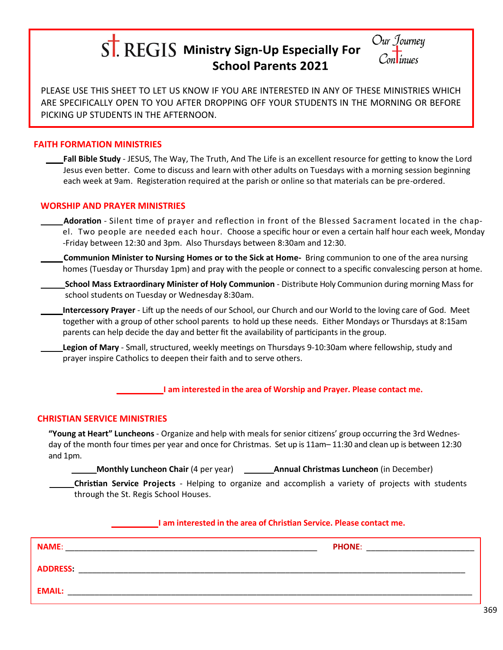# $S$ . REGIS Ministry Sign-Up Especially For **School Parents 2021**



PLEASE USE THIS SHEET TO LET US KNOW IF YOU ARE INTERESTED IN ANY OF THESE MINISTRIES WHICH ARE SPECIFICALLY OPEN TO YOU AFTER DROPPING OFF YOUR STUDENTS IN THE MORNING OR BEFORE PICKING UP STUDENTS IN THE AFTERNOON.

# **FAITH FORMATION MINISTRIES**

**Fall Bible Study** - JESUS, The Way, The Truth, And The Life is an excellent resource for getting to know the Lord Jesus even better. Come to discuss and learn with other adults on Tuesdays with a morning session beginning each week at 9am. Registeration required at the parish or online so that materials can be pre-ordered.

## **WORSHIP AND PRAYER MINISTRIES**

- **Adoration** Silent time of prayer and reflection in front of the Blessed Sacrament located in the chapel. Two people are needed each hour. Choose a specific hour or even a certain half hour each week, Monday -Friday between 12:30 and 3pm. Also Thursdays between 8:30am and 12:30.
- **Communion Minister to Nursing Homes or to the Sick at Home-** Bring communion to one of the area nursing homes (Tuesday or Thursday 1pm) and pray with the people or connect to a specific convalescing person at home.
- **School Mass Extraordinary Minister of Holy Communion** Distribute Holy Communion during morning Mass for school students on Tuesday or Wednesday 8:30am.
- **Intercessory Prayer** Lift up the needs of our School, our Church and our World to the loving care of God. Meet together with a group of other school parents to hold up these needs. Either Mondays or Thursdays at 8:15am parents can help decide the day and better fit the availability of participants in the group.
	- **Legion of Mary** *-* Small, structured, weekly meetings on Thursdays 9-10:30am where fellowship, study and prayer inspire Catholics to deepen their faith and to serve others.

\_\_\_\_\_\_\_ **I am interested in the area of Worship and Prayer. Please contact me.**

## **CHRISTIAN SERVICE MINISTRIES**

**"Young at Heart" Luncheons** - Organize and help with meals for senior citizens' group occurring the 3rd Wednesday of the month four times per year and once for Christmas. Set up is 11am– 11:30 and clean up is between 12:30 and 1pm.

**Monthly Luncheon Chair** (4 per year) **Annual Christmas Luncheon** (in December)

**Christian Service Projects** - Helping to organize and accomplish a variety of projects with students through the St. Regis School Houses.

#### \_\_\_\_\_\_\_ **I am interested in the area of Christian Service. Please contact me.**

| <b>NAME:</b>    | <b>PHONE:</b> |
|-----------------|---------------|
| <b>ADDRESS:</b> |               |
| <b>EMAIL:</b>   |               |